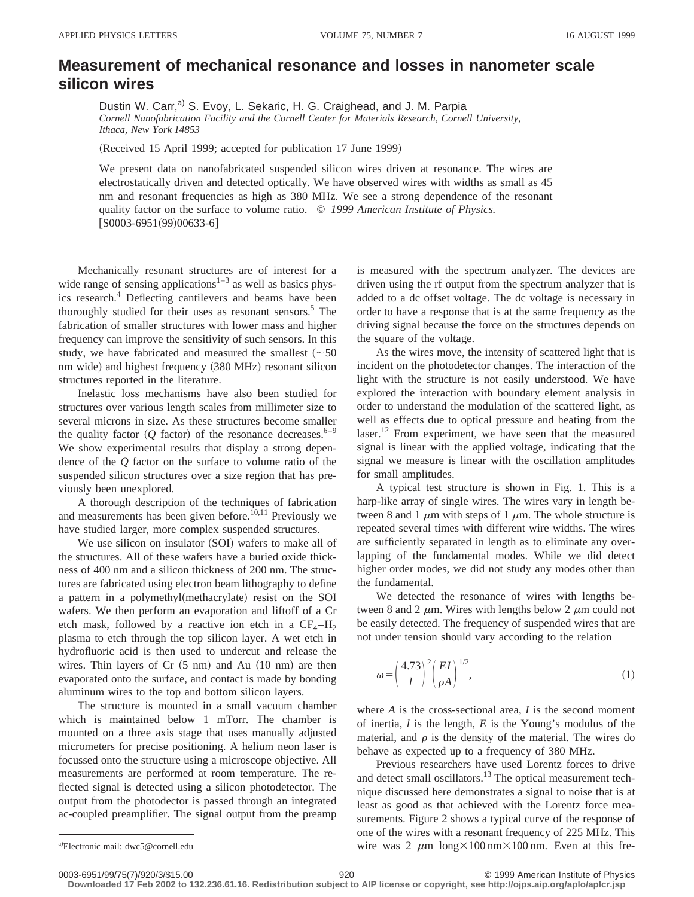## **Measurement of mechanical resonance and losses in nanometer scale silicon wires**

Dustin W. Carr,<sup>a)</sup> S. Evoy, L. Sekaric, H. G. Craighead, and J. M. Parpia *Cornell Nanofabrication Facility and the Cornell Center for Materials Research, Cornell University, Ithaca, New York 14853*

(Received 15 April 1999; accepted for publication 17 June 1999)

We present data on nanofabricated suspended silicon wires driven at resonance. The wires are electrostatically driven and detected optically. We have observed wires with widths as small as 45 nm and resonant frequencies as high as 380 MHz. We see a strong dependence of the resonant quality factor on the surface to volume ratio. © *1999 American Institute of Physics.*  $[50003-6951(99)00633-6]$ 

Mechanically resonant structures are of interest for a wide range of sensing applications<sup> $1-3$ </sup> as well as basics physics research.<sup>4</sup> Deflecting cantilevers and beams have been thoroughly studied for their uses as resonant sensors.<sup>5</sup> The fabrication of smaller structures with lower mass and higher frequency can improve the sensitivity of such sensors. In this study, we have fabricated and measured the smallest  $(\sim 50$ nm wide) and highest frequency (380 MHz) resonant silicon structures reported in the literature.

Inelastic loss mechanisms have also been studied for structures over various length scales from millimeter size to several microns in size. As these structures become smaller the quality factor  $(Q \text{ factor})$  of the resonance decreases.<sup>6–9</sup> We show experimental results that display a strong dependence of the *Q* factor on the surface to volume ratio of the suspended silicon structures over a size region that has previously been unexplored.

A thorough description of the techniques of fabrication and measurements has been given before.<sup>10,11</sup> Previously we have studied larger, more complex suspended structures.

We use silicon on insulator (SOI) wafers to make all of the structures. All of these wafers have a buried oxide thickness of 400 nm and a silicon thickness of 200 nm. The structures are fabricated using electron beam lithography to define a pattern in a polymethyl(methacrylate) resist on the SOI wafers. We then perform an evaporation and liftoff of a Cr etch mask, followed by a reactive ion etch in a  $CF<sub>4</sub>-H<sub>2</sub>$ plasma to etch through the top silicon layer. A wet etch in hydrofluoric acid is then used to undercut and release the wires. Thin layers of  $Cr (5 nm)$  and Au  $(10 nm)$  are then evaporated onto the surface, and contact is made by bonding aluminum wires to the top and bottom silicon layers.

The structure is mounted in a small vacuum chamber which is maintained below 1 mTorr. The chamber is mounted on a three axis stage that uses manually adjusted micrometers for precise positioning. A helium neon laser is focussed onto the structure using a microscope objective. All measurements are performed at room temperature. The reflected signal is detected using a silicon photodetector. The output from the photodector is passed through an integrated ac-coupled preamplifier. The signal output from the preamp

is measured with the spectrum analyzer. The devices are driven using the rf output from the spectrum analyzer that is added to a dc offset voltage. The dc voltage is necessary in order to have a response that is at the same frequency as the driving signal because the force on the structures depends on the square of the voltage.

As the wires move, the intensity of scattered light that is incident on the photodetector changes. The interaction of the light with the structure is not easily understood. We have explored the interaction with boundary element analysis in order to understand the modulation of the scattered light, as well as effects due to optical pressure and heating from the laser.<sup>12</sup> From experiment, we have seen that the measured signal is linear with the applied voltage, indicating that the signal we measure is linear with the oscillation amplitudes for small amplitudes.

A typical test structure is shown in Fig. 1. This is a harp-like array of single wires. The wires vary in length between 8 and 1  $\mu$ m with steps of 1  $\mu$ m. The whole structure is repeated several times with different wire widths. The wires are sufficiently separated in length as to eliminate any overlapping of the fundamental modes. While we did detect higher order modes, we did not study any modes other than the fundamental.

We detected the resonance of wires with lengths between 8 and 2  $\mu$ m. Wires with lengths below 2  $\mu$ m could not be easily detected. The frequency of suspended wires that are not under tension should vary according to the relation

$$
\omega = \left(\frac{4.73}{l}\right)^2 \left(\frac{EI}{\rho A}\right)^{1/2},\tag{1}
$$

where *A* is the cross-sectional area, *I* is the second moment of inertia, *l* is the length, *E* is the Young's modulus of the material, and  $\rho$  is the density of the material. The wires do behave as expected up to a frequency of 380 MHz.

Previous researchers have used Lorentz forces to drive and detect small oscillators.<sup>13</sup> The optical measurement technique discussed here demonstrates a signal to noise that is at least as good as that achieved with the Lorentz force measurements. Figure 2 shows a typical curve of the response of one of the wires with a resonant frequency of 225 MHz. This wire was 2  $\mu$ m long×100 nm×100 nm. Even at this fre-

**Downloaded 17 Feb 2002 to 132.236.61.16. Redistribution subject to AIP license or copyright, see http://ojps.aip.org/aplo/aplcr.jsp**

Electronic mail: dwc5@cornell.edu

<sup>0003-6951/99/75(7)/920/3/\$15.00</sup> 920 © 1999 American Institute of Physics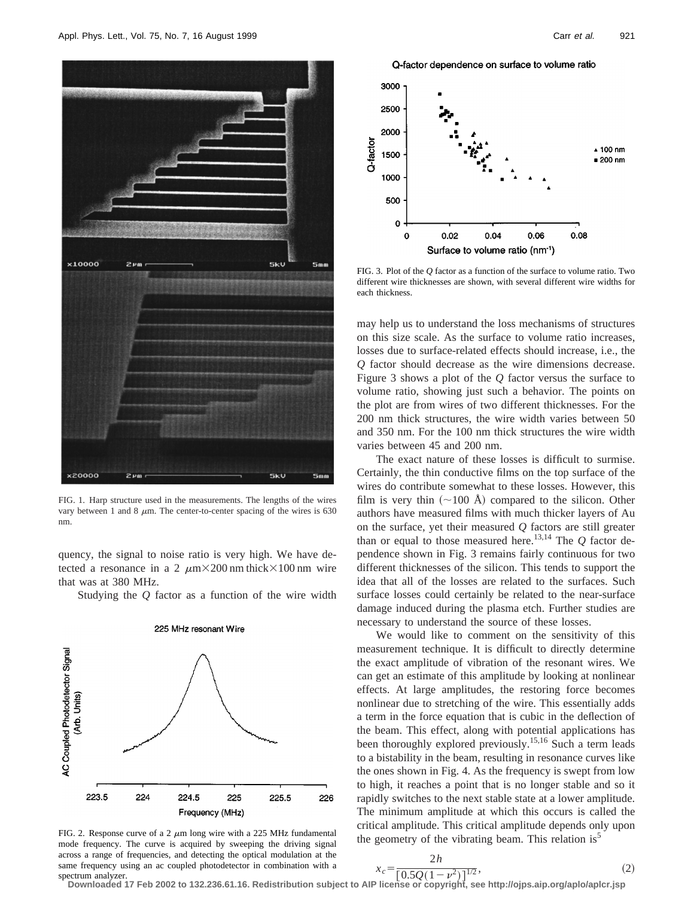

FIG. 1. Harp structure used in the measurements. The lengths of the wires vary between 1 and 8  $\mu$ m. The center-to-center spacing of the wires is 630 nm.

quency, the signal to noise ratio is very high. We have detected a resonance in a 2  $\mu$ m $\times$ 200 nm thick $\times$ 100 nm wire that was at 380 MHz.

Studying the *Q* factor as a function of the wire width



225 MHz resonant Wire

FIG. 2. Response curve of a 2  $\mu$ m long wire with a 225 MHz fundamental mode frequency. The curve is acquired by sweeping the driving signal across a range of frequencies, and detecting the optical modulation at the same frequency using an ac coupled photodetector in combination with a spectrum analyzer.

Q-factor dependence on surface to volume ratio



FIG. 3. Plot of the *Q* factor as a function of the surface to volume ratio. Two different wire thicknesses are shown, with several different wire widths for each thickness.

may help us to understand the loss mechanisms of structures on this size scale. As the surface to volume ratio increases, losses due to surface-related effects should increase, i.e., the *Q* factor should decrease as the wire dimensions decrease. Figure 3 shows a plot of the *Q* factor versus the surface to volume ratio, showing just such a behavior. The points on the plot are from wires of two different thicknesses. For the 200 nm thick structures, the wire width varies between 50 and 350 nm. For the 100 nm thick structures the wire width varies between 45 and 200 nm.

The exact nature of these losses is difficult to surmise. Certainly, the thin conductive films on the top surface of the wires do contribute somewhat to these losses. However, this film is very thin  $(\sim 100 \text{ Å})$  compared to the silicon. Other authors have measured films with much thicker layers of Au on the surface, yet their measured *Q* factors are still greater than or equal to those measured here.<sup>13,14</sup> The  $Q$  factor dependence shown in Fig. 3 remains fairly continuous for two different thicknesses of the silicon. This tends to support the idea that all of the losses are related to the surfaces. Such surface losses could certainly be related to the near-surface damage induced during the plasma etch. Further studies are necessary to understand the source of these losses.

We would like to comment on the sensitivity of this measurement technique. It is difficult to directly determine the exact amplitude of vibration of the resonant wires. We can get an estimate of this amplitude by looking at nonlinear effects. At large amplitudes, the restoring force becomes nonlinear due to stretching of the wire. This essentially adds a term in the force equation that is cubic in the deflection of the beam. This effect, along with potential applications has been thoroughly explored previously.15,16 Such a term leads to a bistability in the beam, resulting in resonance curves like the ones shown in Fig. 4. As the frequency is swept from low to high, it reaches a point that is no longer stable and so it rapidly switches to the next stable state at a lower amplitude. The minimum amplitude at which this occurs is called the critical amplitude. This critical amplitude depends only upon the geometry of the vibrating beam. This relation is<sup>5</sup>

$$
x_c = \frac{2h}{[0.5O(1 - v^2)]^{1/2}},\tag{2}
$$

 $\frac{\lambda_c-\left[0.5Q(1-\nu^2)\right]^{1/2}}{2}$ , extrum analyzer.<br>Downloaded 17 Feb 2002 to 132.236.61.16. Redistribution subject to AIP license or copyright, see http://ojps.aip.org/aplo/aplcr.jsp